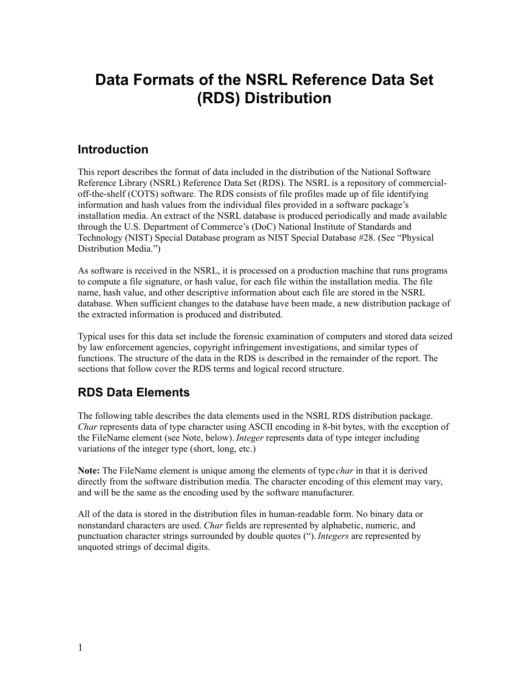# **Data Formats of the NSRL Reference Data Set (RDS) Distribution**

# **Introduction**

This report describes the format of data included in the distribution of the National Software Reference Library (NSRL) Reference Data Set (RDS). The NSRL is a repository of commercialoff-the-shelf (COTS) software. The RDS consists of file profiles made up of file identifying information and hash values from the individual files provided in a software package's installation media. An extract of the NSRL database is produced periodically and made available through the U.S. Department of Commerce's (DoC) National Institute of Standards and Technology (NIST) Special Database program as NIST Special Database #28. (See "Physical Distribution Media.")

As software is received in the NSRL, it is processed on a production machine that runs programs to compute a file signature, or hash value, for each file within the installation media. The file name, hash value, and other descriptive information about each file are stored in the NSRL database. When sufficient changes to the database have been made, a new distribution package of the extracted information is produced and distributed.

Typical uses for this data set include the forensic examination of computers and stored data seized by law enforcement agencies, copyright infringement investigations, and similar types of functions. The structure of the data in the RDS is described in the remainder of the report. The sections that follow cover the RDS terms and logical record structure.

# **RDS Data Elements**

The following table describes the data elements used in the NSRL RDS distribution package. *Char* represents data of type character using ASCII encoding in 8-bit bytes, with the exception of the FileName element (see Note, below). *Integer* represents data of type integer including variations of the integer type (short, long, etc.)

**Note:** The FileName element is unique among the elements of type *char* in that it is derived directly from the software distribution media. The character encoding of this element may vary, and will be the same as the encoding used by the software manufacturer.

All of the data is stored in the distribution files in human-readable form. No binary data or nonstandard characters are used. *Char* fields are represented by alphabetic, numeric, and punctuation character strings surrounded by double quotes ("). *Integers* are represented by unquoted strings of decimal digits.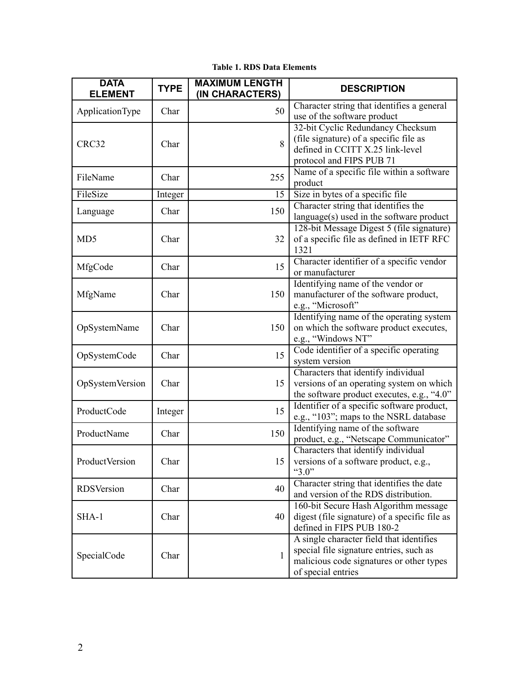| <b>DATA</b><br><b>ELEMENT</b> | <b>TYPE</b> | <b>MAXIMUM LENGTH</b><br>(IN CHARACTERS) | <b>DESCRIPTION</b>                                                                                                                                    |
|-------------------------------|-------------|------------------------------------------|-------------------------------------------------------------------------------------------------------------------------------------------------------|
| ApplicationType               | Char        | 50                                       | Character string that identifies a general<br>use of the software product                                                                             |
| CRC32                         | Char        | 8                                        | 32-bit Cyclic Redundancy Checksum<br>(file signature) of a specific file as<br>defined in CCITT X.25 link-level<br>protocol and FIPS PUB 71           |
| FileName                      | Char        | 255                                      | Name of a specific file within a software<br>product                                                                                                  |
| FileSize                      | Integer     | 15                                       | Size in bytes of a specific file                                                                                                                      |
| Language                      | Char        | 150                                      | Character string that identifies the<br>language(s) used in the software product                                                                      |
| MD <sub>5</sub>               | Char        | 32                                       | 128-bit Message Digest 5 (file signature)<br>of a specific file as defined in IETF RFC<br>1321                                                        |
| MfgCode                       | Char        | 15                                       | Character identifier of a specific vendor<br>or manufacturer                                                                                          |
| MfgName                       | Char        | 150                                      | Identifying name of the vendor or<br>manufacturer of the software product,<br>e.g., "Microsoft"                                                       |
| OpSystemName                  | Char        | 150                                      | Identifying name of the operating system<br>on which the software product executes,<br>e.g., "Windows NT"                                             |
| OpSystemCode                  | Char        | 15                                       | Code identifier of a specific operating<br>system version                                                                                             |
| OpSystemVersion               | Char        | 15                                       | Characters that identify individual<br>versions of an operating system on which<br>the software product executes, e.g., "4.0"                         |
| ProductCode                   | Integer     | 15                                       | Identifier of a specific software product,<br>e.g., "103"; maps to the NSRL database                                                                  |
| ProductName                   | Char        | 150                                      | Identifying name of the software<br>product, e.g., "Netscape Communicator"                                                                            |
| ProductVersion                | Char        | 15                                       | Characters that identify individual<br>versions of a software product, e.g.<br>" $3.0$ "                                                              |
| <b>RDS</b> Version            | Char        | 40                                       | Character string that identifies the date<br>and version of the RDS distribution.                                                                     |
| SHA-1                         | Char        | 40                                       | 160-bit Secure Hash Algorithm message<br>digest (file signature) of a specific file as<br>defined in FIPS PUB 180-2                                   |
| SpecialCode                   | Char        | 1                                        | A single character field that identifies<br>special file signature entries, such as<br>malicious code signatures or other types<br>of special entries |

### **Table 1. RDS Data Elements**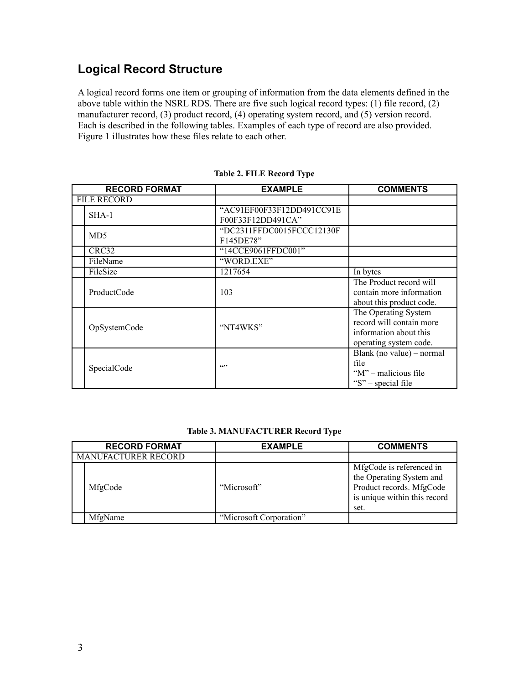# **Logical Record Structure**

A logical record forms one item or grouping of information from the data elements defined in the above table within the NSRL RDS. There are five such logical record types: (1) file record, (2) manufacturer record, (3) product record, (4) operating system record, and (5) version record. Each is described in the following tables. Examples of each type of record are also provided. Figure 1 illustrates how these files relate to each other.

| <b>RECORD FORMAT</b> | <b>EXAMPLE</b>            | <b>COMMENTS</b>           |
|----------------------|---------------------------|---------------------------|
| <b>FILE RECORD</b>   |                           |                           |
| $SHA-1$              | "AC91EF00F33F12DD491CC91E |                           |
|                      | F00F33F12DD491CA"         |                           |
| MD <sub>5</sub>      | "DC2311FFDC0015FCCC12130F |                           |
|                      | F145DE78"                 |                           |
| CRC32                | "14CCE9061FFDC001"        |                           |
| FileName             | "WORD.EXE"                |                           |
| FileSize             | 1217654                   | In bytes                  |
|                      | 103                       | The Product record will   |
| ProductCode          |                           | contain more information  |
|                      |                           | about this product code.  |
|                      |                           | The Operating System      |
| OpSystemCode         | "NT4WKS"                  | record will contain more  |
|                      |                           | information about this    |
|                      |                           | operating system code.    |
|                      | (0)                       | Blank (no value) – normal |
| SpecialCode          |                           | file                      |
|                      |                           | "M" – malicious file      |
|                      |                           | "S" – special file        |

#### **Table 2. FILE Record Type**

#### **Table 3. MANUFACTURER Record Type**

|                     | <b>RECORD FORMAT</b> | <b>EXAMPLE</b>          | <b>COMMENTS</b>                                                                                                          |
|---------------------|----------------------|-------------------------|--------------------------------------------------------------------------------------------------------------------------|
| MANUFACTURER RECORD |                      |                         |                                                                                                                          |
|                     | MfgCode              | "Microsoft"             | MfgCode is referenced in<br>the Operating System and<br>Product records. MfgCode<br>is unique within this record<br>set. |
|                     | MfgName              | "Microsoft Corporation" |                                                                                                                          |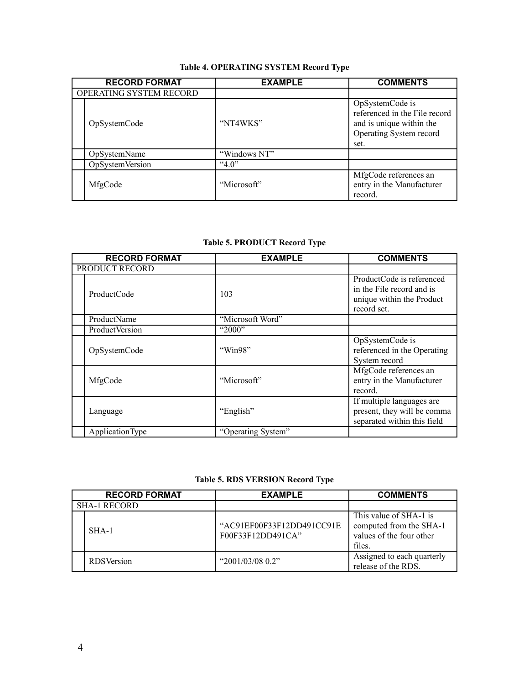### **Table 4. OPERATING SYSTEM Record Type**

| <b>RECORD FORMAT</b>    | <b>EXAMPLE</b> | <b>COMMENTS</b>                                                                                                 |
|-------------------------|----------------|-----------------------------------------------------------------------------------------------------------------|
| OPERATING SYSTEM RECORD |                |                                                                                                                 |
| OpSystemCode            | "NT4WKS"       | OpSystemCode is<br>referenced in the File record<br>and is unique within the<br>Operating System record<br>set. |
| OpSystemName            | "Windows NT"   |                                                                                                                 |
| <b>OpSystemVersion</b>  | 4.0"           |                                                                                                                 |
| MfgCode                 | "Microsoft"    | MfgCode references an<br>entry in the Manufacturer<br>record.                                                   |

### **Table 5. PRODUCT Record Type**

| <b>RECORD FORMAT</b>  | <b>EXAMPLE</b>     | <b>COMMENTS</b>                                                                                    |
|-----------------------|--------------------|----------------------------------------------------------------------------------------------------|
| PRODUCT RECORD        |                    |                                                                                                    |
| ProductCode           | 103                | ProductCode is referenced<br>in the File record and is<br>unique within the Product<br>record set. |
| ProductName           | "Microsoft Word"   |                                                                                                    |
| <b>ProductVersion</b> | " $2000"$          |                                                                                                    |
| OpSystemCode          | "Win98"            | OpSystemCode is<br>referenced in the Operating<br>System record                                    |
| MfgCode               | "Microsoft"        | MfgCode references an<br>entry in the Manufacturer<br>record.                                      |
| Language              | "English"          | If multiple languages are<br>present, they will be comma<br>separated within this field            |
| ApplicationType       | "Operating System" |                                                                                                    |

### **Table 5. RDS VERSION Record Type**

|                     | <b>RECORD FORMAT</b> | <b>EXAMPLE</b>                                 | <b>COMMENTS</b>                                                                         |
|---------------------|----------------------|------------------------------------------------|-----------------------------------------------------------------------------------------|
| <b>SHA-1 RECORD</b> |                      |                                                |                                                                                         |
|                     | $SHA-1$              | "AC91EF00F33F12DD491CC91E<br>F00F33F12DD491CA" | This value of SHA-1 is<br>computed from the SHA-1<br>values of the four other<br>files. |
|                     | <b>RDS</b> Version   | " $2001/03/08$ 0.2"                            | Assigned to each quarterly<br>release of the RDS.                                       |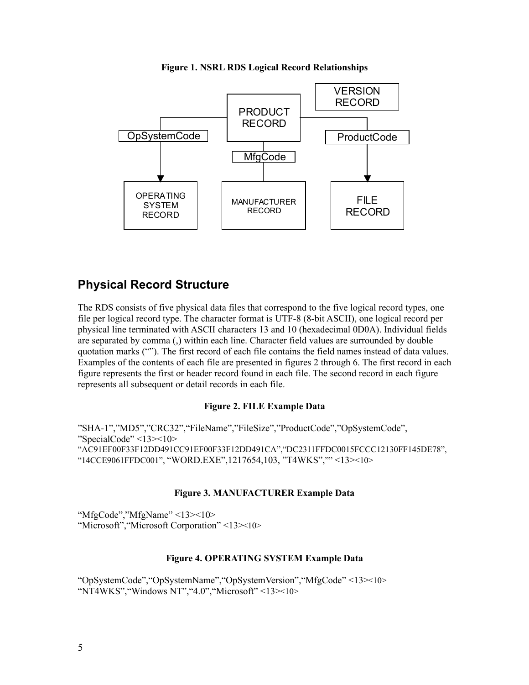

**Figure 1. NSRL RDS Logical Record Relationships**

# **Physical Record Structure**

The RDS consists of five physical data files that correspond to the five logical record types, one file per logical record type. The character format is UTF-8 (8-bit ASCII), one logical record per physical line terminated with ASCII characters 13 and 10 (hexadecimal 0D0A). Individual fields are separated by comma (,) within each line. Character field values are surrounded by double quotation marks (""). The first record of each file contains the field names instead of data values. Examples of the contents of each file are presented in figures 2 through 6. The first record in each figure represents the first or header record found in each file. The second record in each figure represents all subsequent or detail records in each file.

### **Figure 2. FILE Example Data**

"SHA-1","MD5","CRC32","FileName","FileSize","ProductCode","OpSystemCode", "SpecialCode" <13><10> "AC91EF00F33F12DD491CC91EF00F33F12DD491CA","DC2311FFDC0015FCCC12130FF145DE78", "14CCE9061FFDC001", "WORD.EXE",1217654,103, "T4WKS","" <13><10>

#### **Figure 3. MANUFACTURER Example Data**

"MfgCode","MfgName" <13><10> "Microsoft", "Microsoft Corporation" <13 $\times$ 10>

#### **Figure 4. OPERATING SYSTEM Example Data**

"OpSystemCode","OpSystemName","OpSystemVersion","MfgCode" <13><10> "NT4WKS","Windows NT","4.0","Microsoft" <13><10>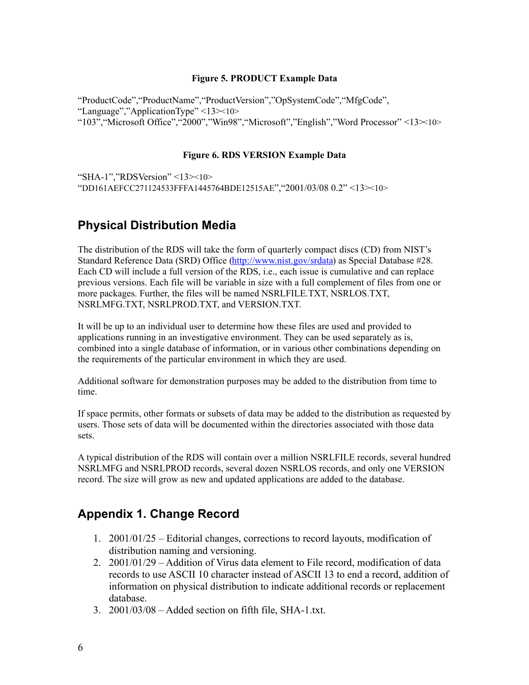#### **Figure 5. PRODUCT Example Data**

"ProductCode", "ProductName", "ProductVersion", "OpSystemCode", "MfgCode", "Language","ApplicationType" <13><10> "103","Microsoft Office","2000","Win98","Microsoft","English","Word Processor" <13><10>

#### **Figure 6. RDS VERSION Example Data**

"SHA-1","RDSVersion" <13><10> "DD161AEFCC271124533FFFA1445764BDE12515AE","2001/03/08 0.2" <13><10>

# **Physical Distribution Media**

The distribution of the RDS will take the form of quarterly compact discs (CD) from NIST's Standard Reference Data (SRD) Office [\(http://www.nist.gov/srdata\)](http://www.nist.gov/srdata) as Special Database #28. Each CD will include a full version of the RDS, i.e., each issue is cumulative and can replace previous versions. Each file will be variable in size with a full complement of files from one or more packages. Further, the files will be named NSRLFILE.TXT, NSRLOS.TXT, NSRLMFG.TXT, NSRLPROD.TXT, and VERSION.TXT.

It will be up to an individual user to determine how these files are used and provided to applications running in an investigative environment. They can be used separately as is, combined into a single database of information, or in various other combinations depending on the requirements of the particular environment in which they are used.

Additional software for demonstration purposes may be added to the distribution from time to time.

If space permits, other formats or subsets of data may be added to the distribution as requested by users. Those sets of data will be documented within the directories associated with those data sets.

A typical distribution of the RDS will contain over a million NSRLFILE records, several hundred NSRLMFG and NSRLPROD records, several dozen NSRLOS records, and only one VERSION record. The size will grow as new and updated applications are added to the database.

# **Appendix 1. Change Record**

- 1. 2001/01/25 Editorial changes, corrections to record layouts, modification of distribution naming and versioning.
- 2. 2001/01/29 Addition of Virus data element to File record, modification of data records to use ASCII 10 character instead of ASCII 13 to end a record, addition of information on physical distribution to indicate additional records or replacement database.
- 3. 2001/03/08 Added section on fifth file, SHA-1.txt.